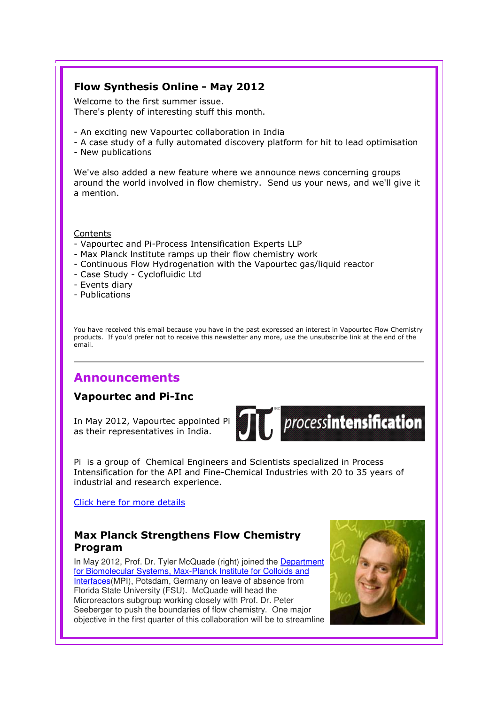## Flow Synthesis Online - May 2012

Welcome to the first summer issue. There's plenty of interesting stuff this month.

- An exciting new Vapourtec collaboration in India
- A case study of a fully automated discovery platform for hit to lead optimisation
- New publications

We've also added a new feature where we announce news concerning groups around the world involved in flow chemistry. Send us your news, and we'll give it a mention.

#### Contents

- Vapourtec and Pi-Process Intensification Experts LLP
- Max Planck lnstitute ramps up their flow chemistry work
- Continuous Flow Hydrogenation with the Vapourtec gas/liquid reactor
- Case Study Cyclofluidic Ltd
- Events diary
- Publications

You have received this email because you have in the past expressed an interest in Vapourtec Flow Chemistry products. If you'd prefer not to receive this newsletter any more, use the unsubscribe link at the end of the email.

# Announcements

## Vapourtec and Pi-Inc

In May 2012, Vapourtec appointed Pi as their representatives in India.



 $\widetilde{\mathcal{J}[t]}$  processintensification

Pi is a group of Chemical Engineers and Scientists specialized in Process Intensification for the API and Fine-Chemical Industries with 20 to 35 years of industrial and research experience.

Click here for more details

## Max Planck Strengthens Flow Chemistry Program

In May 2012, Prof. Dr. Tyler McQuade (right) joined the Department for Biomolecular Systems, Max-Planck Institute for Colloids and Interfaces(MPI), Potsdam, Germany on leave of absence from Florida State University (FSU). McQuade will head the Microreactors subgroup working closely with Prof. Dr. Peter Seeberger to push the boundaries of flow chemistry. One major objective in the first quarter of this collaboration will be to streamline

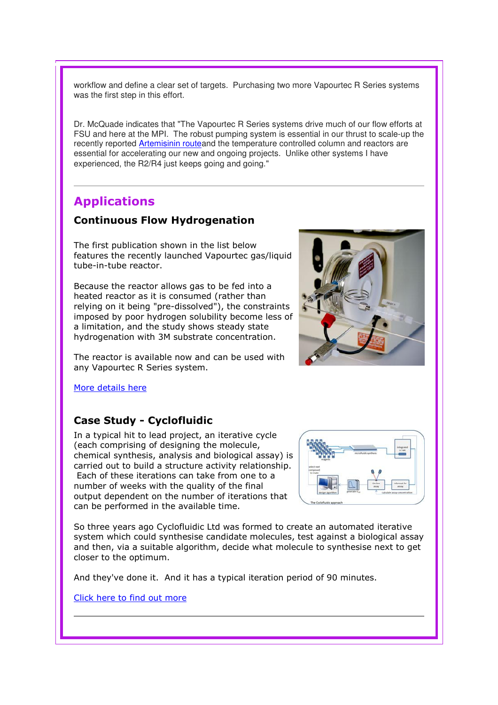workflow and define a clear set of targets. Purchasing two more Vapourtec R Series systems was the first step in this effort.

Dr. McQuade indicates that "The Vapourtec R Series systems drive much of our flow efforts at FSU and here at the MPI. The robust pumping system is essential in our thrust to scale-up the recently reported Artemisinin routeand the temperature controlled column and reactors are essential for accelerating our new and ongoing projects. Unlike other systems I have experienced, the R2/R4 just keeps going and going."

# Applications

### Continuous Flow Hydrogenation

The first publication shown in the list below features the recently launched Vapourtec gas/liquid tube-in-tube reactor.

Because the reactor allows gas to be fed into a heated reactor as it is consumed (rather than relying on it being "pre-dissolved"), the constraints imposed by poor hydrogen solubility become less of a limitation, and the study shows steady state hydrogenation with 3M substrate concentration.

The reactor is available now and can be used with any Vapourtec R Series system.

More details here

### Case Study - Cyclofluidic

In a typical hit to lead project, an iterative cycle (each comprising of designing the molecule, chemical synthesis, analysis and biological assay) is carried out to build a structure activity relationship. Each of these iterations can take from one to a number of weeks with the quality of the final output dependent on the number of iterations that can be performed in the available time.

So three years ago Cyclofluidic Ltd was formed to create an automated iterative system which could synthesise candidate molecules, test against a biological assay and then, via a suitable algorithm, decide what molecule to synthesise next to get closer to the optimum.

And they've done it. And it has a typical iteration period of 90 minutes.

Click here to find out more

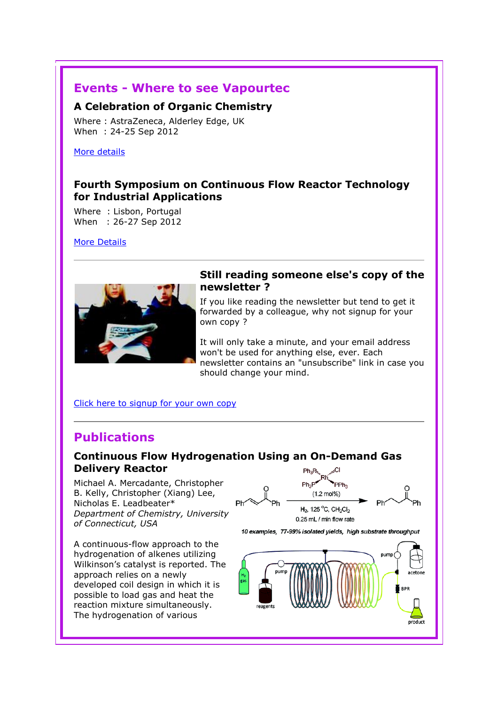# Events - Where to see Vapourtec

#### A Celebration of Organic Chemistry

Where : AstraZeneca, Alderley Edge, UK When : 24-25 Sep 2012

More details

## Fourth Symposium on Continuous Flow Reactor Technology for Industrial Applications

Where : Lisbon, Portugal When : 26-27 Sep 2012

More Details



### Still reading someone else's copy of the newsletter ?

If you like reading the newsletter but tend to get it forwarded by a colleague, why not signup for your own copy ?

It will only take a minute, and your email address won't be used for anything else, ever. Each newsletter contains an "unsubscribe" link in case you should change your mind.

#### Click here to signup for your own copy

# Publications

## Continuous Flow Hydrogenation Using an On-Demand Gas Delivery Reactor

Michael A. Mercadante, Christopher B. Kelly, Christopher (Xiang) Lee, Nicholas E. Leadbeater\* Department of Chemistry, University of Connecticut, USA

A continuous-flow approach to the hydrogenation of alkenes utilizing Wilkinson's catalyst is reported. The approach relies on a newly developed coil design in which it is possible to load gas and heat the reaction mixture simultaneously. The hydrogenation of various



10 examples, 77-99% isolated yields, high substrate throughput

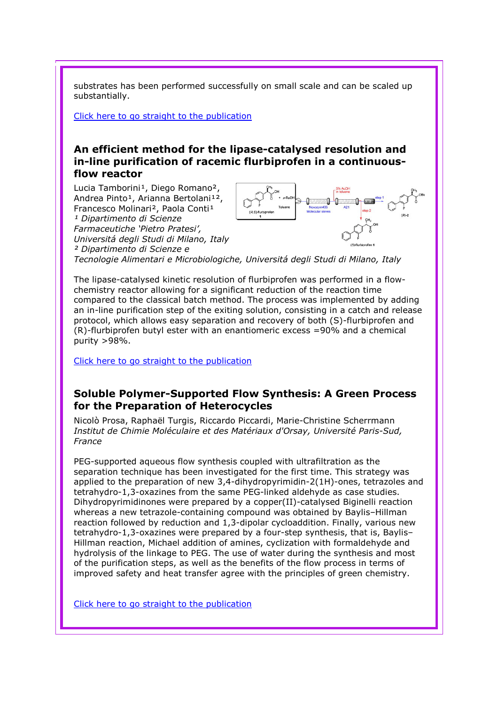substrates has been performed successfully on small scale and can be scaled up substantially.

Click here to go straight to the publication

## An efficient method for the lipase-catalysed resolution and in-line purification of racemic flurbiprofen in a continuousflow reactor

Lucia Tamborini<sup>1</sup>, Diego Romano<sup>2</sup>, Andrea Pinto<sup>1</sup>, Arianna Bertolani<sup>12</sup>, Francesco Molinari<sup>2</sup>, Paola Conti<sup>1</sup> <sup>1</sup> Dipartimento di Scienze Farmaceutiche 'Pietro Pratesi', Universitá degli Studi di Milano, Italy ² Dipartimento di Scienze e

Tecnologie Alimentari e Microbiologiche, Universitá degli Studi di Milano, Italy

The lipase-catalysed kinetic resolution of flurbiprofen was performed in a flowchemistry reactor allowing for a significant reduction of the reaction time compared to the classical batch method. The process was implemented by adding an in-line purification step of the exiting solution, consisting in a catch and release protocol, which allows easy separation and recovery of both (S)-flurbiprofen and (R)-flurbiprofen butyl ester with an enantiomeric excess =90% and a chemical purity >98%.

Click here to go straight to the publication

## Soluble Polymer-Supported Flow Synthesis: A Green Process for the Preparation of Heterocycles

Nicolò Prosa, Raphaël Turgis, Riccardo Piccardi, Marie-Christine Scherrmann Institut de Chimie Moléculaire et des Matériaux d'Orsay, Université Paris-Sud, France

PEG-supported aqueous flow synthesis coupled with ultrafiltration as the separation technique has been investigated for the first time. This strategy was applied to the preparation of new 3,4-dihydropyrimidin-2(1H)-ones, tetrazoles and tetrahydro-1,3-oxazines from the same PEG-linked aldehyde as case studies. Dihydropyrimidinones were prepared by a copper(II)-catalysed Biginelli reaction whereas a new tetrazole-containing compound was obtained by Baylis–Hillman reaction followed by reduction and 1,3-dipolar cycloaddition. Finally, various new tetrahydro-1,3-oxazines were prepared by a four-step synthesis, that is, Baylis– Hillman reaction, Michael addition of amines, cyclization with formaldehyde and hydrolysis of the linkage to PEG. The use of water during the synthesis and most of the purification steps, as well as the benefits of the flow process in terms of improved safety and heat transfer agree with the principles of green chemistry.

Click here to go straight to the publication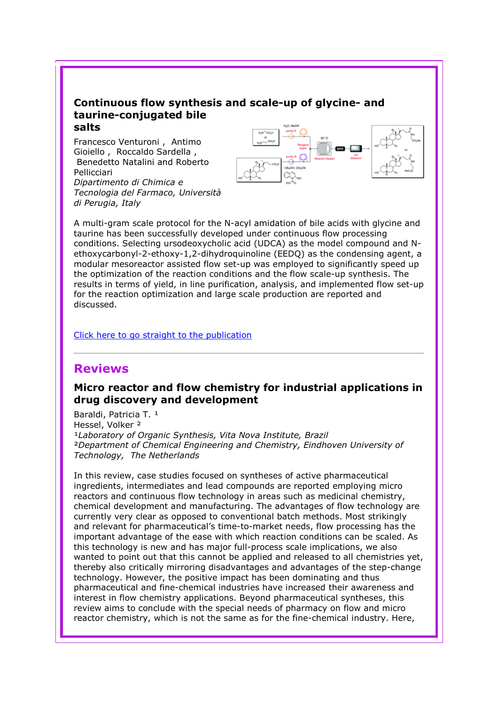#### Continuous flow synthesis and scale-up of glycine- and taurine-conjugated bile salts

Francesco Venturoni , Antimo Gioiello , Roccaldo Sardella , Benedetto Natalini and Roberto Pellicciari Dipartimento di Chimica e Tecnologia del Farmaco, Università di Perugia, Italy



A multi-gram scale protocol for the N-acyl amidation of bile acids with glycine and taurine has been successfully developed under continuous flow processing conditions. Selecting ursodeoxycholic acid (UDCA) as the model compound and Nethoxycarbonyl-2-ethoxy-1,2-dihydroquinoline (EEDQ) as the condensing agent, a modular mesoreactor assisted flow set-up was employed to significantly speed up the optimization of the reaction conditions and the flow scale-up synthesis. The results in terms of yield, in line purification, analysis, and implemented flow set-up for the reaction optimization and large scale production are reported and discussed.

#### Click here to go straight to the publication

## Reviews

## Micro reactor and flow chemistry for industrial applications in drug discovery and development

Baraldi, Patricia T. 1 Hessel, Volker ² <sup>1</sup>Laboratory of Organic Synthesis, Vita Nova Institute, Brazil ²Department of Chemical Engineering and Chemistry, Eindhoven University of Technology, The Netherlands

In this review, case studies focused on syntheses of active pharmaceutical ingredients, intermediates and lead compounds are reported employing micro reactors and continuous flow technology in areas such as medicinal chemistry, chemical development and manufacturing. The advantages of flow technology are currently very clear as opposed to conventional batch methods. Most strikingly and relevant for pharmaceutical's time-to-market needs, flow processing has the important advantage of the ease with which reaction conditions can be scaled. As this technology is new and has major full-process scale implications, we also wanted to point out that this cannot be applied and released to all chemistries yet, thereby also critically mirroring disadvantages and advantages of the step-change technology. However, the positive impact has been dominating and thus pharmaceutical and fine-chemical industries have increased their awareness and interest in flow chemistry applications. Beyond pharmaceutical syntheses, this review aims to conclude with the special needs of pharmacy on flow and micro reactor chemistry, which is not the same as for the fine-chemical industry. Here,